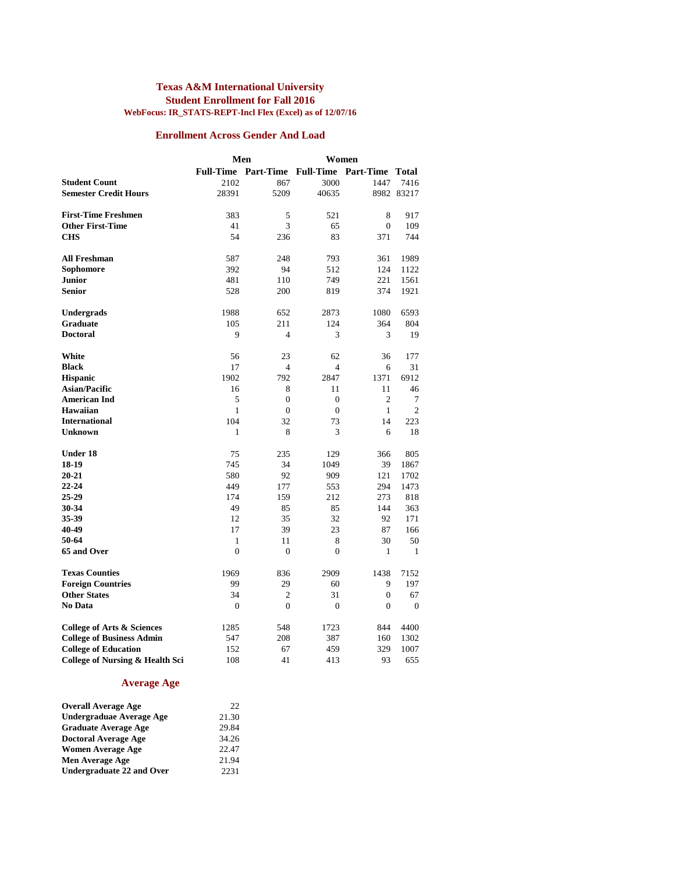#### **Texas A&M International University Student Enrollment for Fall 2016 WebFocus: IR\_STATS-REPT-Incl Flex (Excel) as of 12/07/16**

#### **Enrollment Across Gender And Load**

|                                                                | Men            |                               | Women          |                        |                |
|----------------------------------------------------------------|----------------|-------------------------------|----------------|------------------------|----------------|
|                                                                |                | Full-Time Part-Time Full-Time |                | <b>Part-Time Total</b> |                |
| <b>Student Count</b>                                           | 2102           | 867                           | 3000           | 1447                   | 7416           |
| <b>Semester Credit Hours</b>                                   | 28391          | 5209                          | 40635          |                        | 8982 83217     |
|                                                                |                |                               |                |                        |                |
| <b>First-Time Freshmen</b>                                     | 383            | 5                             | 521            | 8                      | 917            |
| <b>Other First-Time</b>                                        | 41             | 3                             | 65             | $\mathbf{0}$           | 109            |
| <b>CHS</b>                                                     | 54             | 236                           | 83             | 371                    | 744            |
|                                                                |                |                               |                |                        |                |
| <b>All Freshman</b>                                            | 587            | 248<br>94                     | 793            | 361                    | 1989           |
| Sophomore<br><b>Junior</b>                                     | 392            |                               | 512            | 124<br>221             | 1122           |
| <b>Senior</b>                                                  | 481<br>528     | 110<br>200                    | 749<br>819     | 374                    | 1561<br>1921   |
|                                                                |                |                               |                |                        |                |
| Undergrads                                                     | 1988           | 652                           | 2873           | 1080                   | 6593           |
| Graduate                                                       | 105            | 211                           | 124            | 364                    | 804            |
| <b>Doctoral</b>                                                | 9              | $\overline{4}$                | 3              | 3                      | 19             |
|                                                                |                |                               |                |                        |                |
| White                                                          | 56             | 23                            | 62             | 36                     | 177            |
| <b>Black</b>                                                   | 17             | 4                             | $\overline{4}$ | 6                      | 31             |
| <b>Hispanic</b>                                                | 1902           | 792                           | 2847           | 1371                   | 6912           |
| <b>Asian/Pacific</b>                                           | 16             | 8                             | 11             | 11                     | 46             |
| <b>American Ind</b>                                            | 5              | $\Omega$                      | $\theta$       | $\overline{2}$         | 7              |
| <b>Hawaiian</b>                                                | 1              | $\theta$                      | $\theta$       | $\mathbf{1}$           | $\overline{c}$ |
| <b>International</b>                                           | 104            | 32                            | 73             | 14                     | 223            |
| Unknown                                                        | 1              | 8                             | 3              | 6                      | 18             |
| <b>Under 18</b>                                                | 75             | 235                           | 129            | 366                    | 805            |
| 18-19                                                          | 745            | 34                            | 1049           | 39                     | 1867           |
| $20 - 21$                                                      | 580            | 92                            | 909            | 121                    | 1702           |
| $22 - 24$                                                      | 449            | 177                           | 553            | 294                    | 1473           |
| 25-29                                                          | 174            | 159                           | 212            | 273                    | 818            |
| 30-34                                                          | 49             | 85                            | 85             | 144                    | 363            |
| 35-39                                                          | 12             | 35                            | 32             | 92                     | 171            |
| 40-49                                                          | 17             | 39                            | 23             | 87                     | 166            |
| 50-64                                                          | $\mathbf{1}$   | 11                            | 8              | 30                     | 50             |
| 65 and Over                                                    | $\overline{0}$ | $\theta$                      | $\theta$       | 1                      | 1              |
| <b>Texas Counties</b>                                          | 1969           | 836                           | 2909           | 1438                   | 7152           |
| <b>Foreign Countries</b>                                       | 99             | 29                            | 60             | 9                      | 197            |
| <b>Other States</b>                                            | 34             | $\overline{c}$                | 31             | $\mathbf{0}$           | 67             |
| No Data                                                        | $\overline{0}$ | $\theta$                      | $\theta$       | $\mathbf{0}$           | $\mathbf{0}$   |
|                                                                | 1285           | 548                           | 1723           | 844                    | 4400           |
| College of Arts & Sciences<br><b>College of Business Admin</b> | 547            | 208                           | 387            | 160                    | 1302           |
| <b>College of Education</b>                                    | 152            | 67                            | 459            | 329                    | 1007           |
| <b>College of Nursing &amp; Health Sci</b>                     | 108            | 41                            | 413            | 93                     | 655            |
|                                                                |                |                               |                |                        |                |

#### **Average Age**

| <b>Overall Average Age</b>  | 22.   |
|-----------------------------|-------|
| Undergraduae Average Age    | 21.30 |
| <b>Graduate Average Age</b> | 29.84 |
| <b>Doctoral Average Age</b> | 34.26 |
| <b>Women Average Age</b>    | 22.47 |
| Men Average Age             | 21.94 |
| Undergraduate 22 and Over   | 2231  |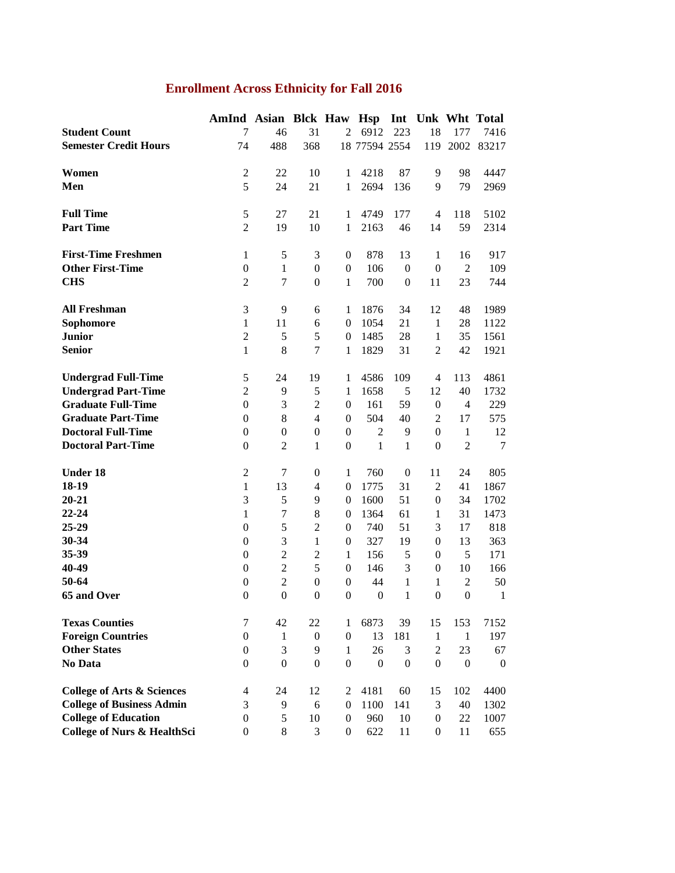## **Enrollment Across Ethnicity for Fall 2016**

| 7<br>46<br>31<br>6912<br>18<br><b>Student Count</b><br>$\overline{2}$<br>223<br>177<br><b>Semester Credit Hours</b><br>368<br>18 77594 2554<br>74<br>488<br>119<br>2002<br>$\boldsymbol{2}$<br>22<br>Women<br>10<br>4218<br>87<br>9<br>98<br>1<br>5<br>Men<br>24<br>21<br>2694<br>9<br>79<br>1<br>136<br><b>Full Time</b><br>$\sqrt{5}$<br>21<br>27<br>4749<br>177<br>$\overline{4}$<br>118<br>$\mathbf{1}$<br><b>Part Time</b><br>$\overline{2}$<br>19<br>10<br>46<br>14<br>59<br>1<br>2163<br><b>First-Time Freshmen</b><br>$\mathbf{1}$<br>5<br>3<br>878<br>13<br>$\boldsymbol{0}$<br>$\mathbf{1}$<br>16<br><b>Other First-Time</b><br>$\overline{2}$<br>$\boldsymbol{0}$<br>$\mathbf{1}$<br>$\boldsymbol{0}$<br>106<br>$\boldsymbol{0}$<br>$\boldsymbol{0}$<br>$\boldsymbol{0}$<br><b>CHS</b><br>$\overline{2}$<br>$\boldsymbol{7}$<br>23<br>$\boldsymbol{0}$<br>700<br>$\boldsymbol{0}$<br>11<br>$\mathbf{1}$<br>$\mathfrak{Z}$<br><b>All Freshman</b><br>9<br>12<br>6<br>1876<br>34<br>48<br>1<br>21<br>Sophomore<br>$\mathbf{1}$<br>11<br>1054<br>$\mathbf{1}$<br>28<br>6<br>$\boldsymbol{0}$<br><b>Junior</b><br>$\overline{2}$<br>5<br>5<br>1485<br>28<br>$\mathbf{1}$<br>35<br>$\boldsymbol{0}$<br><b>Senior</b><br>7<br>42<br>$\mathbf{1}$<br>8<br>1829<br>31<br>$\overline{2}$<br>1<br>$\sqrt{5}$<br>4586<br><b>Undergrad Full-Time</b><br>24<br>19<br>109<br>4<br>113<br>1<br><b>Undergrad Part-Time</b><br>$\overline{2}$<br>5<br>1658<br>5<br>12<br>40<br>9<br>1<br><b>Graduate Full-Time</b><br>3<br>$\overline{c}$<br>161<br>59<br>$\theta$<br>$\boldsymbol{0}$<br>$\boldsymbol{0}$<br>$\overline{4}$<br><b>Graduate Part-Time</b><br>$\boldsymbol{0}$<br>$\,8$<br>504<br>40<br>$\overline{2}$<br>$\overline{4}$<br>$\mathbf{0}$<br>17<br><b>Doctoral Full-Time</b><br>$\boldsymbol{0}$<br>$\boldsymbol{0}$<br>$\boldsymbol{0}$<br>$\overline{c}$<br>$\boldsymbol{0}$<br>9<br>$\theta$<br>$\mathbf{1}$<br>$\overline{2}$<br>$\overline{2}$<br><b>Doctoral Part-Time</b><br>$\boldsymbol{0}$<br>$\mathbf{1}$<br>$\boldsymbol{0}$<br>$\mathbf{1}$<br>$\mathbf{1}$<br>$\boldsymbol{0}$<br><b>Under 18</b><br>$\mathfrak{2}$<br>$\tau$<br>$\boldsymbol{0}$<br>24<br>$\boldsymbol{0}$<br>$\mathbf{1}$<br>760<br>11<br>18-19<br>31<br>$\overline{2}$<br>41<br>$\mathbf{1}$<br>13<br>$\overline{4}$<br>$\boldsymbol{0}$<br>1775<br>$20 - 21$<br>3<br>5<br>51<br>34<br>9<br>1600<br>$\boldsymbol{0}$<br>$\overline{0}$<br>22-24<br>$\boldsymbol{7}$<br>31<br>$\mathbf{1}$<br>8<br>1364<br>61<br>$\mathbf{1}$<br>$\boldsymbol{0}$<br>25-29<br>5<br>51<br>$\boldsymbol{0}$<br>$\overline{c}$<br>740<br>3<br>17<br>$\boldsymbol{0}$<br>30-34<br>3<br>$\boldsymbol{0}$<br>$\mathbf{1}$<br>327<br>19<br>13<br>$\boldsymbol{0}$<br>$\boldsymbol{0}$<br>35-39<br>$\overline{2}$<br>5<br>$\boldsymbol{0}$<br>$\overline{c}$<br>156<br>5<br>$\mathbf{1}$<br>$\boldsymbol{0}$<br>$\overline{2}$<br>40-49<br>5<br>$\boldsymbol{0}$<br>146<br>3<br>$\boldsymbol{0}$<br>10<br>$\boldsymbol{0}$<br>50-64<br>$\overline{2}$<br>$\boldsymbol{0}$<br>$\boldsymbol{0}$<br>44<br>$\mathfrak{2}$<br>$\boldsymbol{0}$<br>1<br>$\mathbf{1}$<br>65 and Over<br>$\boldsymbol{0}$<br>$\boldsymbol{0}$<br>$\boldsymbol{0}$<br>$\boldsymbol{0}$<br>$\mathbf{0}$<br>$\mathbf{1}$<br>$\boldsymbol{0}$<br>$\boldsymbol{0}$ | AmInd Asian Blck Haw Hsp Int Unk Wht Total |  |  |  |                |
|-------------------------------------------------------------------------------------------------------------------------------------------------------------------------------------------------------------------------------------------------------------------------------------------------------------------------------------------------------------------------------------------------------------------------------------------------------------------------------------------------------------------------------------------------------------------------------------------------------------------------------------------------------------------------------------------------------------------------------------------------------------------------------------------------------------------------------------------------------------------------------------------------------------------------------------------------------------------------------------------------------------------------------------------------------------------------------------------------------------------------------------------------------------------------------------------------------------------------------------------------------------------------------------------------------------------------------------------------------------------------------------------------------------------------------------------------------------------------------------------------------------------------------------------------------------------------------------------------------------------------------------------------------------------------------------------------------------------------------------------------------------------------------------------------------------------------------------------------------------------------------------------------------------------------------------------------------------------------------------------------------------------------------------------------------------------------------------------------------------------------------------------------------------------------------------------------------------------------------------------------------------------------------------------------------------------------------------------------------------------------------------------------------------------------------------------------------------------------------------------------------------------------------------------------------------------------------------------------------------------------------------------------------------------------------------------------------------------------------------------------------------------------------------------------------------------------------------------------------------------------------------------------------------------------------------------------------------------------------------------------------------------------------------------------------------------------------------------------------------------------------------------------------------------------------------------------------------------------------------------------------------------------------------------------------|--------------------------------------------|--|--|--|----------------|
|                                                                                                                                                                                                                                                                                                                                                                                                                                                                                                                                                                                                                                                                                                                                                                                                                                                                                                                                                                                                                                                                                                                                                                                                                                                                                                                                                                                                                                                                                                                                                                                                                                                                                                                                                                                                                                                                                                                                                                                                                                                                                                                                                                                                                                                                                                                                                                                                                                                                                                                                                                                                                                                                                                                                                                                                                                                                                                                                                                                                                                                                                                                                                                                                                                                                                                       |                                            |  |  |  | 7416           |
|                                                                                                                                                                                                                                                                                                                                                                                                                                                                                                                                                                                                                                                                                                                                                                                                                                                                                                                                                                                                                                                                                                                                                                                                                                                                                                                                                                                                                                                                                                                                                                                                                                                                                                                                                                                                                                                                                                                                                                                                                                                                                                                                                                                                                                                                                                                                                                                                                                                                                                                                                                                                                                                                                                                                                                                                                                                                                                                                                                                                                                                                                                                                                                                                                                                                                                       |                                            |  |  |  | 83217          |
|                                                                                                                                                                                                                                                                                                                                                                                                                                                                                                                                                                                                                                                                                                                                                                                                                                                                                                                                                                                                                                                                                                                                                                                                                                                                                                                                                                                                                                                                                                                                                                                                                                                                                                                                                                                                                                                                                                                                                                                                                                                                                                                                                                                                                                                                                                                                                                                                                                                                                                                                                                                                                                                                                                                                                                                                                                                                                                                                                                                                                                                                                                                                                                                                                                                                                                       |                                            |  |  |  |                |
|                                                                                                                                                                                                                                                                                                                                                                                                                                                                                                                                                                                                                                                                                                                                                                                                                                                                                                                                                                                                                                                                                                                                                                                                                                                                                                                                                                                                                                                                                                                                                                                                                                                                                                                                                                                                                                                                                                                                                                                                                                                                                                                                                                                                                                                                                                                                                                                                                                                                                                                                                                                                                                                                                                                                                                                                                                                                                                                                                                                                                                                                                                                                                                                                                                                                                                       |                                            |  |  |  | 4447           |
|                                                                                                                                                                                                                                                                                                                                                                                                                                                                                                                                                                                                                                                                                                                                                                                                                                                                                                                                                                                                                                                                                                                                                                                                                                                                                                                                                                                                                                                                                                                                                                                                                                                                                                                                                                                                                                                                                                                                                                                                                                                                                                                                                                                                                                                                                                                                                                                                                                                                                                                                                                                                                                                                                                                                                                                                                                                                                                                                                                                                                                                                                                                                                                                                                                                                                                       |                                            |  |  |  | 2969           |
|                                                                                                                                                                                                                                                                                                                                                                                                                                                                                                                                                                                                                                                                                                                                                                                                                                                                                                                                                                                                                                                                                                                                                                                                                                                                                                                                                                                                                                                                                                                                                                                                                                                                                                                                                                                                                                                                                                                                                                                                                                                                                                                                                                                                                                                                                                                                                                                                                                                                                                                                                                                                                                                                                                                                                                                                                                                                                                                                                                                                                                                                                                                                                                                                                                                                                                       |                                            |  |  |  |                |
|                                                                                                                                                                                                                                                                                                                                                                                                                                                                                                                                                                                                                                                                                                                                                                                                                                                                                                                                                                                                                                                                                                                                                                                                                                                                                                                                                                                                                                                                                                                                                                                                                                                                                                                                                                                                                                                                                                                                                                                                                                                                                                                                                                                                                                                                                                                                                                                                                                                                                                                                                                                                                                                                                                                                                                                                                                                                                                                                                                                                                                                                                                                                                                                                                                                                                                       |                                            |  |  |  | 5102           |
|                                                                                                                                                                                                                                                                                                                                                                                                                                                                                                                                                                                                                                                                                                                                                                                                                                                                                                                                                                                                                                                                                                                                                                                                                                                                                                                                                                                                                                                                                                                                                                                                                                                                                                                                                                                                                                                                                                                                                                                                                                                                                                                                                                                                                                                                                                                                                                                                                                                                                                                                                                                                                                                                                                                                                                                                                                                                                                                                                                                                                                                                                                                                                                                                                                                                                                       |                                            |  |  |  | 2314           |
|                                                                                                                                                                                                                                                                                                                                                                                                                                                                                                                                                                                                                                                                                                                                                                                                                                                                                                                                                                                                                                                                                                                                                                                                                                                                                                                                                                                                                                                                                                                                                                                                                                                                                                                                                                                                                                                                                                                                                                                                                                                                                                                                                                                                                                                                                                                                                                                                                                                                                                                                                                                                                                                                                                                                                                                                                                                                                                                                                                                                                                                                                                                                                                                                                                                                                                       |                                            |  |  |  |                |
|                                                                                                                                                                                                                                                                                                                                                                                                                                                                                                                                                                                                                                                                                                                                                                                                                                                                                                                                                                                                                                                                                                                                                                                                                                                                                                                                                                                                                                                                                                                                                                                                                                                                                                                                                                                                                                                                                                                                                                                                                                                                                                                                                                                                                                                                                                                                                                                                                                                                                                                                                                                                                                                                                                                                                                                                                                                                                                                                                                                                                                                                                                                                                                                                                                                                                                       |                                            |  |  |  | 917            |
|                                                                                                                                                                                                                                                                                                                                                                                                                                                                                                                                                                                                                                                                                                                                                                                                                                                                                                                                                                                                                                                                                                                                                                                                                                                                                                                                                                                                                                                                                                                                                                                                                                                                                                                                                                                                                                                                                                                                                                                                                                                                                                                                                                                                                                                                                                                                                                                                                                                                                                                                                                                                                                                                                                                                                                                                                                                                                                                                                                                                                                                                                                                                                                                                                                                                                                       |                                            |  |  |  | 109            |
|                                                                                                                                                                                                                                                                                                                                                                                                                                                                                                                                                                                                                                                                                                                                                                                                                                                                                                                                                                                                                                                                                                                                                                                                                                                                                                                                                                                                                                                                                                                                                                                                                                                                                                                                                                                                                                                                                                                                                                                                                                                                                                                                                                                                                                                                                                                                                                                                                                                                                                                                                                                                                                                                                                                                                                                                                                                                                                                                                                                                                                                                                                                                                                                                                                                                                                       |                                            |  |  |  | 744            |
|                                                                                                                                                                                                                                                                                                                                                                                                                                                                                                                                                                                                                                                                                                                                                                                                                                                                                                                                                                                                                                                                                                                                                                                                                                                                                                                                                                                                                                                                                                                                                                                                                                                                                                                                                                                                                                                                                                                                                                                                                                                                                                                                                                                                                                                                                                                                                                                                                                                                                                                                                                                                                                                                                                                                                                                                                                                                                                                                                                                                                                                                                                                                                                                                                                                                                                       |                                            |  |  |  |                |
|                                                                                                                                                                                                                                                                                                                                                                                                                                                                                                                                                                                                                                                                                                                                                                                                                                                                                                                                                                                                                                                                                                                                                                                                                                                                                                                                                                                                                                                                                                                                                                                                                                                                                                                                                                                                                                                                                                                                                                                                                                                                                                                                                                                                                                                                                                                                                                                                                                                                                                                                                                                                                                                                                                                                                                                                                                                                                                                                                                                                                                                                                                                                                                                                                                                                                                       |                                            |  |  |  | 1989           |
|                                                                                                                                                                                                                                                                                                                                                                                                                                                                                                                                                                                                                                                                                                                                                                                                                                                                                                                                                                                                                                                                                                                                                                                                                                                                                                                                                                                                                                                                                                                                                                                                                                                                                                                                                                                                                                                                                                                                                                                                                                                                                                                                                                                                                                                                                                                                                                                                                                                                                                                                                                                                                                                                                                                                                                                                                                                                                                                                                                                                                                                                                                                                                                                                                                                                                                       |                                            |  |  |  | 1122           |
|                                                                                                                                                                                                                                                                                                                                                                                                                                                                                                                                                                                                                                                                                                                                                                                                                                                                                                                                                                                                                                                                                                                                                                                                                                                                                                                                                                                                                                                                                                                                                                                                                                                                                                                                                                                                                                                                                                                                                                                                                                                                                                                                                                                                                                                                                                                                                                                                                                                                                                                                                                                                                                                                                                                                                                                                                                                                                                                                                                                                                                                                                                                                                                                                                                                                                                       |                                            |  |  |  | 1561           |
|                                                                                                                                                                                                                                                                                                                                                                                                                                                                                                                                                                                                                                                                                                                                                                                                                                                                                                                                                                                                                                                                                                                                                                                                                                                                                                                                                                                                                                                                                                                                                                                                                                                                                                                                                                                                                                                                                                                                                                                                                                                                                                                                                                                                                                                                                                                                                                                                                                                                                                                                                                                                                                                                                                                                                                                                                                                                                                                                                                                                                                                                                                                                                                                                                                                                                                       |                                            |  |  |  | 1921           |
|                                                                                                                                                                                                                                                                                                                                                                                                                                                                                                                                                                                                                                                                                                                                                                                                                                                                                                                                                                                                                                                                                                                                                                                                                                                                                                                                                                                                                                                                                                                                                                                                                                                                                                                                                                                                                                                                                                                                                                                                                                                                                                                                                                                                                                                                                                                                                                                                                                                                                                                                                                                                                                                                                                                                                                                                                                                                                                                                                                                                                                                                                                                                                                                                                                                                                                       |                                            |  |  |  |                |
|                                                                                                                                                                                                                                                                                                                                                                                                                                                                                                                                                                                                                                                                                                                                                                                                                                                                                                                                                                                                                                                                                                                                                                                                                                                                                                                                                                                                                                                                                                                                                                                                                                                                                                                                                                                                                                                                                                                                                                                                                                                                                                                                                                                                                                                                                                                                                                                                                                                                                                                                                                                                                                                                                                                                                                                                                                                                                                                                                                                                                                                                                                                                                                                                                                                                                                       |                                            |  |  |  | 4861           |
|                                                                                                                                                                                                                                                                                                                                                                                                                                                                                                                                                                                                                                                                                                                                                                                                                                                                                                                                                                                                                                                                                                                                                                                                                                                                                                                                                                                                                                                                                                                                                                                                                                                                                                                                                                                                                                                                                                                                                                                                                                                                                                                                                                                                                                                                                                                                                                                                                                                                                                                                                                                                                                                                                                                                                                                                                                                                                                                                                                                                                                                                                                                                                                                                                                                                                                       |                                            |  |  |  | 1732           |
|                                                                                                                                                                                                                                                                                                                                                                                                                                                                                                                                                                                                                                                                                                                                                                                                                                                                                                                                                                                                                                                                                                                                                                                                                                                                                                                                                                                                                                                                                                                                                                                                                                                                                                                                                                                                                                                                                                                                                                                                                                                                                                                                                                                                                                                                                                                                                                                                                                                                                                                                                                                                                                                                                                                                                                                                                                                                                                                                                                                                                                                                                                                                                                                                                                                                                                       |                                            |  |  |  | 229            |
|                                                                                                                                                                                                                                                                                                                                                                                                                                                                                                                                                                                                                                                                                                                                                                                                                                                                                                                                                                                                                                                                                                                                                                                                                                                                                                                                                                                                                                                                                                                                                                                                                                                                                                                                                                                                                                                                                                                                                                                                                                                                                                                                                                                                                                                                                                                                                                                                                                                                                                                                                                                                                                                                                                                                                                                                                                                                                                                                                                                                                                                                                                                                                                                                                                                                                                       |                                            |  |  |  | 575            |
|                                                                                                                                                                                                                                                                                                                                                                                                                                                                                                                                                                                                                                                                                                                                                                                                                                                                                                                                                                                                                                                                                                                                                                                                                                                                                                                                                                                                                                                                                                                                                                                                                                                                                                                                                                                                                                                                                                                                                                                                                                                                                                                                                                                                                                                                                                                                                                                                                                                                                                                                                                                                                                                                                                                                                                                                                                                                                                                                                                                                                                                                                                                                                                                                                                                                                                       |                                            |  |  |  | 12             |
|                                                                                                                                                                                                                                                                                                                                                                                                                                                                                                                                                                                                                                                                                                                                                                                                                                                                                                                                                                                                                                                                                                                                                                                                                                                                                                                                                                                                                                                                                                                                                                                                                                                                                                                                                                                                                                                                                                                                                                                                                                                                                                                                                                                                                                                                                                                                                                                                                                                                                                                                                                                                                                                                                                                                                                                                                                                                                                                                                                                                                                                                                                                                                                                                                                                                                                       |                                            |  |  |  | $\overline{7}$ |
|                                                                                                                                                                                                                                                                                                                                                                                                                                                                                                                                                                                                                                                                                                                                                                                                                                                                                                                                                                                                                                                                                                                                                                                                                                                                                                                                                                                                                                                                                                                                                                                                                                                                                                                                                                                                                                                                                                                                                                                                                                                                                                                                                                                                                                                                                                                                                                                                                                                                                                                                                                                                                                                                                                                                                                                                                                                                                                                                                                                                                                                                                                                                                                                                                                                                                                       |                                            |  |  |  |                |
|                                                                                                                                                                                                                                                                                                                                                                                                                                                                                                                                                                                                                                                                                                                                                                                                                                                                                                                                                                                                                                                                                                                                                                                                                                                                                                                                                                                                                                                                                                                                                                                                                                                                                                                                                                                                                                                                                                                                                                                                                                                                                                                                                                                                                                                                                                                                                                                                                                                                                                                                                                                                                                                                                                                                                                                                                                                                                                                                                                                                                                                                                                                                                                                                                                                                                                       |                                            |  |  |  | 805            |
|                                                                                                                                                                                                                                                                                                                                                                                                                                                                                                                                                                                                                                                                                                                                                                                                                                                                                                                                                                                                                                                                                                                                                                                                                                                                                                                                                                                                                                                                                                                                                                                                                                                                                                                                                                                                                                                                                                                                                                                                                                                                                                                                                                                                                                                                                                                                                                                                                                                                                                                                                                                                                                                                                                                                                                                                                                                                                                                                                                                                                                                                                                                                                                                                                                                                                                       |                                            |  |  |  | 1867           |
|                                                                                                                                                                                                                                                                                                                                                                                                                                                                                                                                                                                                                                                                                                                                                                                                                                                                                                                                                                                                                                                                                                                                                                                                                                                                                                                                                                                                                                                                                                                                                                                                                                                                                                                                                                                                                                                                                                                                                                                                                                                                                                                                                                                                                                                                                                                                                                                                                                                                                                                                                                                                                                                                                                                                                                                                                                                                                                                                                                                                                                                                                                                                                                                                                                                                                                       |                                            |  |  |  | 1702           |
|                                                                                                                                                                                                                                                                                                                                                                                                                                                                                                                                                                                                                                                                                                                                                                                                                                                                                                                                                                                                                                                                                                                                                                                                                                                                                                                                                                                                                                                                                                                                                                                                                                                                                                                                                                                                                                                                                                                                                                                                                                                                                                                                                                                                                                                                                                                                                                                                                                                                                                                                                                                                                                                                                                                                                                                                                                                                                                                                                                                                                                                                                                                                                                                                                                                                                                       |                                            |  |  |  | 1473           |
|                                                                                                                                                                                                                                                                                                                                                                                                                                                                                                                                                                                                                                                                                                                                                                                                                                                                                                                                                                                                                                                                                                                                                                                                                                                                                                                                                                                                                                                                                                                                                                                                                                                                                                                                                                                                                                                                                                                                                                                                                                                                                                                                                                                                                                                                                                                                                                                                                                                                                                                                                                                                                                                                                                                                                                                                                                                                                                                                                                                                                                                                                                                                                                                                                                                                                                       |                                            |  |  |  | 818            |
|                                                                                                                                                                                                                                                                                                                                                                                                                                                                                                                                                                                                                                                                                                                                                                                                                                                                                                                                                                                                                                                                                                                                                                                                                                                                                                                                                                                                                                                                                                                                                                                                                                                                                                                                                                                                                                                                                                                                                                                                                                                                                                                                                                                                                                                                                                                                                                                                                                                                                                                                                                                                                                                                                                                                                                                                                                                                                                                                                                                                                                                                                                                                                                                                                                                                                                       |                                            |  |  |  | 363            |
|                                                                                                                                                                                                                                                                                                                                                                                                                                                                                                                                                                                                                                                                                                                                                                                                                                                                                                                                                                                                                                                                                                                                                                                                                                                                                                                                                                                                                                                                                                                                                                                                                                                                                                                                                                                                                                                                                                                                                                                                                                                                                                                                                                                                                                                                                                                                                                                                                                                                                                                                                                                                                                                                                                                                                                                                                                                                                                                                                                                                                                                                                                                                                                                                                                                                                                       |                                            |  |  |  | 171            |
|                                                                                                                                                                                                                                                                                                                                                                                                                                                                                                                                                                                                                                                                                                                                                                                                                                                                                                                                                                                                                                                                                                                                                                                                                                                                                                                                                                                                                                                                                                                                                                                                                                                                                                                                                                                                                                                                                                                                                                                                                                                                                                                                                                                                                                                                                                                                                                                                                                                                                                                                                                                                                                                                                                                                                                                                                                                                                                                                                                                                                                                                                                                                                                                                                                                                                                       |                                            |  |  |  | 166            |
|                                                                                                                                                                                                                                                                                                                                                                                                                                                                                                                                                                                                                                                                                                                                                                                                                                                                                                                                                                                                                                                                                                                                                                                                                                                                                                                                                                                                                                                                                                                                                                                                                                                                                                                                                                                                                                                                                                                                                                                                                                                                                                                                                                                                                                                                                                                                                                                                                                                                                                                                                                                                                                                                                                                                                                                                                                                                                                                                                                                                                                                                                                                                                                                                                                                                                                       |                                            |  |  |  | 50             |
|                                                                                                                                                                                                                                                                                                                                                                                                                                                                                                                                                                                                                                                                                                                                                                                                                                                                                                                                                                                                                                                                                                                                                                                                                                                                                                                                                                                                                                                                                                                                                                                                                                                                                                                                                                                                                                                                                                                                                                                                                                                                                                                                                                                                                                                                                                                                                                                                                                                                                                                                                                                                                                                                                                                                                                                                                                                                                                                                                                                                                                                                                                                                                                                                                                                                                                       |                                            |  |  |  | $\mathbf{1}$   |
|                                                                                                                                                                                                                                                                                                                                                                                                                                                                                                                                                                                                                                                                                                                                                                                                                                                                                                                                                                                                                                                                                                                                                                                                                                                                                                                                                                                                                                                                                                                                                                                                                                                                                                                                                                                                                                                                                                                                                                                                                                                                                                                                                                                                                                                                                                                                                                                                                                                                                                                                                                                                                                                                                                                                                                                                                                                                                                                                                                                                                                                                                                                                                                                                                                                                                                       |                                            |  |  |  |                |
| <b>Texas Counties</b><br>42<br>22<br>6873<br>39<br>153<br>7<br>1<br>15                                                                                                                                                                                                                                                                                                                                                                                                                                                                                                                                                                                                                                                                                                                                                                                                                                                                                                                                                                                                                                                                                                                                                                                                                                                                                                                                                                                                                                                                                                                                                                                                                                                                                                                                                                                                                                                                                                                                                                                                                                                                                                                                                                                                                                                                                                                                                                                                                                                                                                                                                                                                                                                                                                                                                                                                                                                                                                                                                                                                                                                                                                                                                                                                                                |                                            |  |  |  | 7152           |
| <b>Foreign Countries</b><br>$\boldsymbol{0}$<br>$\mathbf{1}$<br>$\boldsymbol{0}$<br>$\boldsymbol{0}$<br>13<br>181<br>$\mathbf{1}$<br>$\mathbf{1}$                                                                                                                                                                                                                                                                                                                                                                                                                                                                                                                                                                                                                                                                                                                                                                                                                                                                                                                                                                                                                                                                                                                                                                                                                                                                                                                                                                                                                                                                                                                                                                                                                                                                                                                                                                                                                                                                                                                                                                                                                                                                                                                                                                                                                                                                                                                                                                                                                                                                                                                                                                                                                                                                                                                                                                                                                                                                                                                                                                                                                                                                                                                                                     |                                            |  |  |  | 197            |
| <b>Other States</b><br>3<br>$\boldsymbol{0}$<br>9<br>26<br>$\overline{2}$<br>23<br>$\mathbf{1}$<br>3                                                                                                                                                                                                                                                                                                                                                                                                                                                                                                                                                                                                                                                                                                                                                                                                                                                                                                                                                                                                                                                                                                                                                                                                                                                                                                                                                                                                                                                                                                                                                                                                                                                                                                                                                                                                                                                                                                                                                                                                                                                                                                                                                                                                                                                                                                                                                                                                                                                                                                                                                                                                                                                                                                                                                                                                                                                                                                                                                                                                                                                                                                                                                                                                  |                                            |  |  |  | 67             |
| No Data<br>$\boldsymbol{0}$<br>$\boldsymbol{0}$<br>$\boldsymbol{0}$<br>$\boldsymbol{0}$<br>$\boldsymbol{0}$<br>$\boldsymbol{0}$<br>$\boldsymbol{0}$<br>$\mathbf{0}$                                                                                                                                                                                                                                                                                                                                                                                                                                                                                                                                                                                                                                                                                                                                                                                                                                                                                                                                                                                                                                                                                                                                                                                                                                                                                                                                                                                                                                                                                                                                                                                                                                                                                                                                                                                                                                                                                                                                                                                                                                                                                                                                                                                                                                                                                                                                                                                                                                                                                                                                                                                                                                                                                                                                                                                                                                                                                                                                                                                                                                                                                                                                   |                                            |  |  |  | $\overline{0}$ |
| <b>College of Arts &amp; Sciences</b><br>4181<br>$\overline{4}$<br>24<br>12<br>2<br>60<br>15<br>102                                                                                                                                                                                                                                                                                                                                                                                                                                                                                                                                                                                                                                                                                                                                                                                                                                                                                                                                                                                                                                                                                                                                                                                                                                                                                                                                                                                                                                                                                                                                                                                                                                                                                                                                                                                                                                                                                                                                                                                                                                                                                                                                                                                                                                                                                                                                                                                                                                                                                                                                                                                                                                                                                                                                                                                                                                                                                                                                                                                                                                                                                                                                                                                                   |                                            |  |  |  | 4400           |
| <b>College of Business Admin</b><br>3<br>9<br>6<br>141<br>3<br>40<br>$\boldsymbol{0}$<br>1100                                                                                                                                                                                                                                                                                                                                                                                                                                                                                                                                                                                                                                                                                                                                                                                                                                                                                                                                                                                                                                                                                                                                                                                                                                                                                                                                                                                                                                                                                                                                                                                                                                                                                                                                                                                                                                                                                                                                                                                                                                                                                                                                                                                                                                                                                                                                                                                                                                                                                                                                                                                                                                                                                                                                                                                                                                                                                                                                                                                                                                                                                                                                                                                                         |                                            |  |  |  | 1302           |
| <b>College of Education</b><br>5<br>22<br>10<br>10<br>$\boldsymbol{0}$<br>$\boldsymbol{0}$<br>960<br>$\boldsymbol{0}$                                                                                                                                                                                                                                                                                                                                                                                                                                                                                                                                                                                                                                                                                                                                                                                                                                                                                                                                                                                                                                                                                                                                                                                                                                                                                                                                                                                                                                                                                                                                                                                                                                                                                                                                                                                                                                                                                                                                                                                                                                                                                                                                                                                                                                                                                                                                                                                                                                                                                                                                                                                                                                                                                                                                                                                                                                                                                                                                                                                                                                                                                                                                                                                 |                                            |  |  |  | 1007           |
| <b>College of Nurs &amp; HealthSci</b><br>8<br>3<br>622<br>11<br>$\boldsymbol{0}$<br>$\boldsymbol{0}$<br>11<br>$\boldsymbol{0}$                                                                                                                                                                                                                                                                                                                                                                                                                                                                                                                                                                                                                                                                                                                                                                                                                                                                                                                                                                                                                                                                                                                                                                                                                                                                                                                                                                                                                                                                                                                                                                                                                                                                                                                                                                                                                                                                                                                                                                                                                                                                                                                                                                                                                                                                                                                                                                                                                                                                                                                                                                                                                                                                                                                                                                                                                                                                                                                                                                                                                                                                                                                                                                       |                                            |  |  |  | 655            |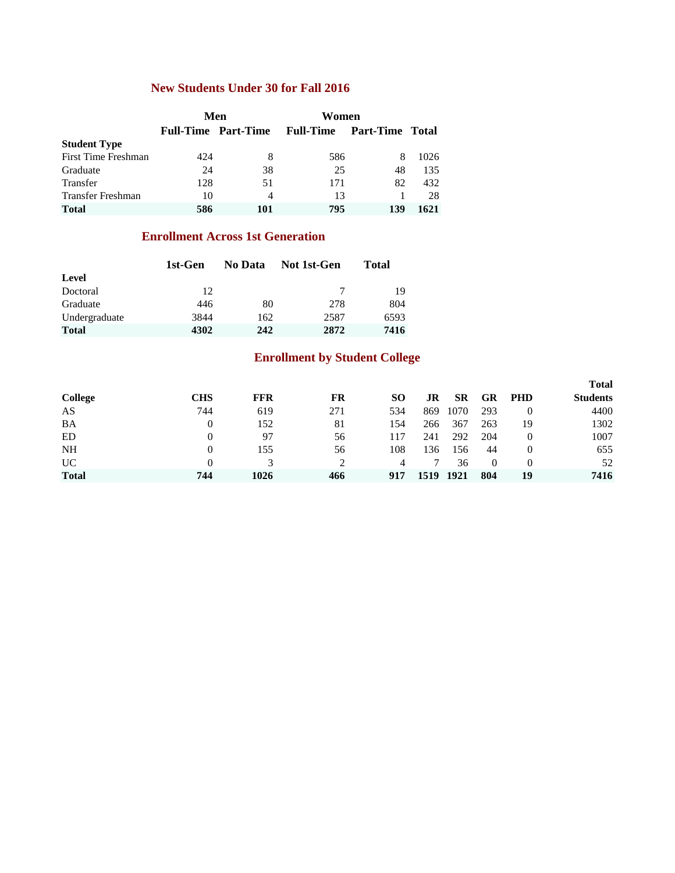## **New Students Under 30 for Fall 2016**

|                          |      | Men                        | Women            |                        |      |
|--------------------------|------|----------------------------|------------------|------------------------|------|
|                          |      | <b>Full-Time Part-Time</b> | <b>Full-Time</b> | <b>Part-Time Total</b> |      |
| <b>Student Type</b>      |      |                            |                  |                        |      |
| First Time Freshman      | 42.4 | 8                          | 586              |                        | 1026 |
| Graduate                 | 24   | 38                         | 25               | 48                     | 135  |
| Transfer                 | 128  | 51                         | 171              | 82                     | 432  |
| <b>Transfer Freshman</b> | 10   | 4                          | 13               |                        | 28   |
| <b>Total</b>             | 586  | 101                        | 795              | 139                    | 1621 |

### **Enrollment Across 1st Generation**

|               | 1st-Gen | No Data | Not 1st-Gen | Total |
|---------------|---------|---------|-------------|-------|
| Level         |         |         |             |       |
| Doctoral      | 12      |         |             | 19    |
| Graduate      | 446     | 80      | 278         | 804   |
| Undergraduate | 3844    | 162     | 2587        | 6593  |
| <b>Total</b>  | 4302    | 242     | 2872        | 7416  |

## **Enrollment by Student College**

|                |            |            |     |     |      |           |           |            | <b>Total</b>    |
|----------------|------------|------------|-----|-----|------|-----------|-----------|------------|-----------------|
| <b>College</b> | <b>CHS</b> | <b>FFR</b> | FR  | SO. | JR   | <b>SR</b> | <b>GR</b> | <b>PHD</b> | <b>Students</b> |
| AS             | 744        | 619        | 271 | 534 | 869  | 1070      | 293       | $\Omega$   | 4400            |
| BA             | 0          | 152        | 81  | 154 | 266  | 367       | 263       | 19         | 1302            |
| ED             | 0          | 97         | 56  | 117 | 241  | 292       | 204       | $\Omega$   | 1007            |
| <b>NH</b>      | 0          | 155        | 56  | 108 | 136  | 156       | 44        |            | 655             |
| <b>UC</b>      | 0          |            |     |     |      | 36        | $\Omega$  | $\Omega$   | 52              |
| <b>Total</b>   | 744        | 1026       | 466 | 917 | 1519 | 1921      | 804       | 19         | 7416            |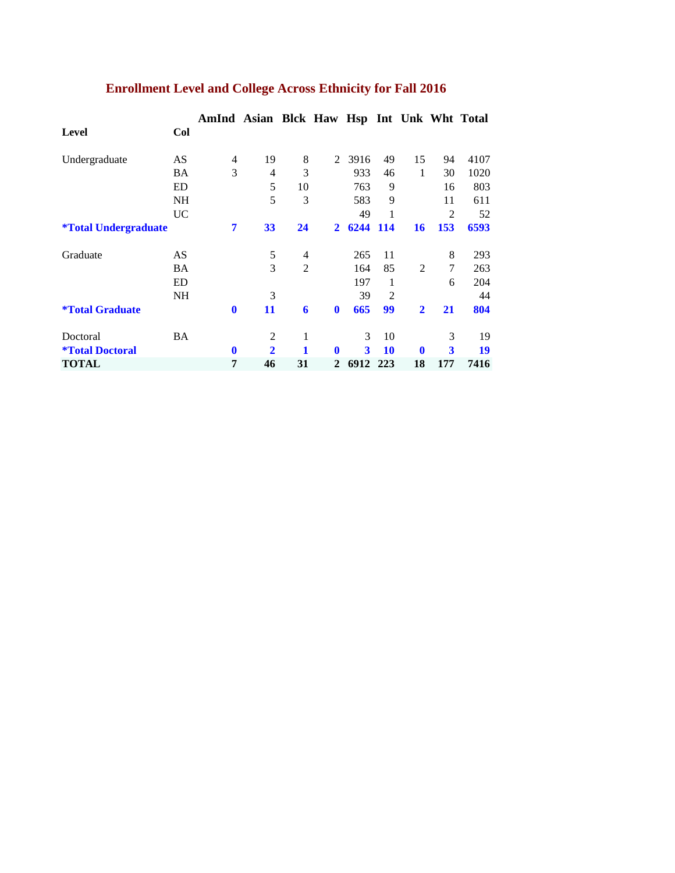|                                    |           | AmInd        | Asian Blck Haw Hsp Int Unk Wht Total |                |                |      |                |                |                         |      |
|------------------------------------|-----------|--------------|--------------------------------------|----------------|----------------|------|----------------|----------------|-------------------------|------|
| Level                              | Col       |              |                                      |                |                |      |                |                |                         |      |
| Undergraduate                      | AS        | 4            | 19                                   | 8              | $\mathfrak{D}$ | 3916 | 49             | 15             | 94                      | 4107 |
|                                    | <b>BA</b> | 3            | 4                                    | 3              |                | 933  | 46             | 1              | 30                      | 1020 |
|                                    | ED        |              | 5                                    | 10             |                | 763  | 9              |                | 16                      | 803  |
|                                    | <b>NH</b> |              | 5                                    | 3              |                | 583  | 9              |                | 11                      | 611  |
|                                    | UC.       |              |                                      |                |                | 49   |                |                | $\overline{c}$          | 52   |
| <i><b>*Total Undergraduate</b></i> |           | 7            | 33                                   | 24             | $\mathbf{2}$   | 6244 | <b>114</b>     | 16             | 153                     | 6593 |
| Graduate                           | AS        |              | 5                                    | 4              |                | 265  | 11             |                | 8                       | 293  |
|                                    | <b>BA</b> |              | 3                                    | $\overline{2}$ |                | 164  | 85             | $\overline{2}$ | $\tau$                  | 263  |
|                                    | ED        |              |                                      |                |                | 197  | 1              |                | 6                       | 204  |
|                                    | <b>NH</b> |              | 3                                    |                |                | 39   | $\overline{2}$ |                |                         | 44   |
| <i><b>*Total Graduate</b></i>      |           | $\bf{0}$     | 11                                   | 6              | $\mathbf 0$    | 665  | 99             | $\mathbf{2}$   | 21                      | 804  |
| Doctoral                           | <b>BA</b> |              | 2                                    | 1              |                | 3    | 10             |                | 3                       | 19   |
| <i><b>*Total Doctoral</b></i>      |           | $\mathbf{0}$ | $\overline{2}$                       | 1              | $\mathbf 0$    | 3    | <b>10</b>      | $\mathbf 0$    | $\overline{\mathbf{3}}$ | 19   |
| <b>TOTAL</b>                       |           | 7            | 46                                   | 31             | $\mathbf{2}$   | 6912 | 223            | 18             | 177                     | 7416 |

# **Enrollment Level and College Across Ethnicity for Fall 2016**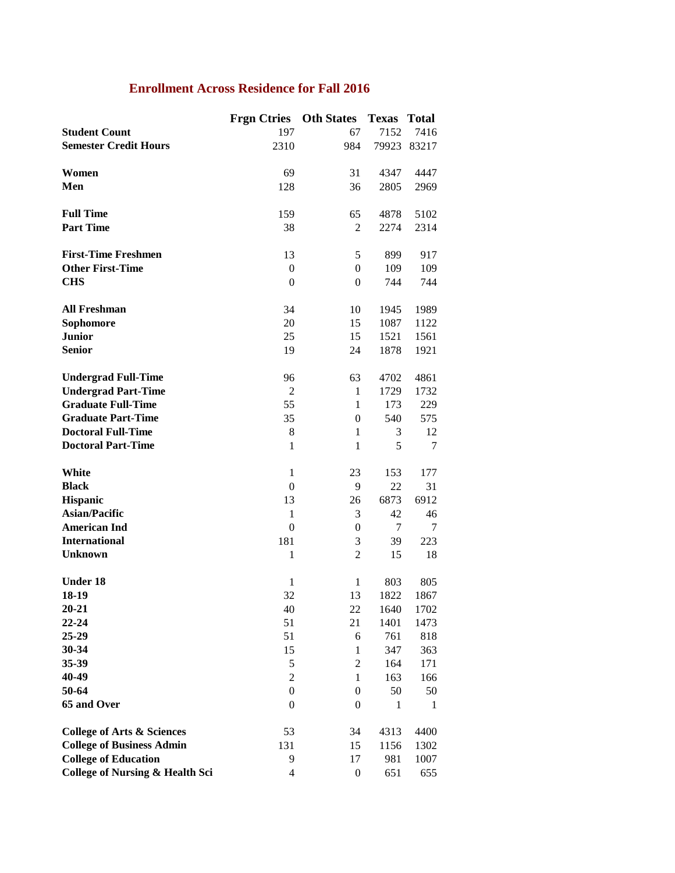## **Enrollment Across Residence for Fall 2016**

|                                            | <b>Frgn Ctries</b> | <b>Oth States</b> | <b>Texas</b> | <b>Total</b> |
|--------------------------------------------|--------------------|-------------------|--------------|--------------|
| <b>Student Count</b>                       | 197                | 67                | 7152         | 7416         |
| <b>Semester Credit Hours</b>               | 2310               | 984               | 79923        | 83217        |
|                                            |                    |                   |              |              |
| Women                                      | 69                 | 31                | 4347         | 4447         |
| Men                                        | 128                | 36                | 2805         | 2969         |
|                                            |                    |                   |              |              |
| <b>Full Time</b>                           | 159                | 65                | 4878         | 5102         |
| <b>Part Time</b>                           | 38                 | $\overline{c}$    | 2274         | 2314         |
|                                            |                    |                   |              |              |
| <b>First-Time Freshmen</b>                 | 13                 | 5                 | 899          | 917          |
| <b>Other First-Time</b>                    | $\theta$           | $\boldsymbol{0}$  | 109          | 109          |
|                                            |                    |                   |              |              |
| <b>CHS</b>                                 | $\boldsymbol{0}$   | $\overline{0}$    | 744          | 744          |
|                                            |                    |                   |              |              |
| <b>All Freshman</b>                        | 34                 | 10                | 1945         | 1989         |
| Sophomore                                  | 20                 | 15                | 1087         | 1122         |
| <b>Junior</b>                              | 25                 | 15                | 1521         | 1561         |
| <b>Senior</b>                              | 19                 | 24                | 1878         | 1921         |
|                                            |                    |                   |              |              |
| <b>Undergrad Full-Time</b>                 | 96                 | 63                | 4702         | 4861         |
| <b>Undergrad Part-Time</b>                 | $\overline{c}$     | $\mathbf{1}$      | 1729         | 1732         |
| <b>Graduate Full-Time</b>                  | 55                 | $\mathbf{1}$      | 173          | 229          |
| <b>Graduate Part-Time</b>                  | 35                 | $\overline{0}$    | 540          | 575          |
| <b>Doctoral Full-Time</b>                  | 8                  | $\mathbf{1}$      | 3            | 12           |
| <b>Doctoral Part-Time</b>                  | $\mathbf{1}$       | $\mathbf{1}$      | 5            | 7            |
|                                            |                    |                   |              |              |
| White                                      | $\mathbf{1}$       | 23                | 153          | 177          |
| <b>Black</b>                               | $\theta$           | 9                 | 22           | 31           |
| <b>Hispanic</b>                            | 13                 | 26                | 6873         | 6912         |
| <b>Asian/Pacific</b>                       | $\mathbf{1}$       | 3                 | 42           | 46           |
| <b>American Ind</b>                        | $\boldsymbol{0}$   | $\boldsymbol{0}$  | 7            | 7            |
| <b>International</b>                       | 181                | 3                 | 39           | 223          |
| <b>Unknown</b>                             | $\mathbf{1}$       | $\overline{2}$    | 15           | 18           |
|                                            |                    |                   |              |              |
| <b>Under 18</b>                            | $\mathbf{1}$       | $\mathbf{1}$      | 803          | 805          |
| 18-19                                      | 32                 | 13                | 1822         | 1867         |
| $20 - 21$                                  | 40                 | 22                | 1640         | 1702         |
| 22-24                                      | 51                 | 21                | 1401         | 1473         |
| 25-29                                      | 51                 | 6                 | 761          | 818          |
| 30-34                                      | 15                 | $\mathbf{1}$      | 347          | 363          |
| 35-39                                      | 5                  | $\overline{c}$    | 164          | 171          |
| 40-49                                      | $\overline{c}$     | 1                 | 163          | 166          |
| 50-64                                      | $\theta$           |                   | 50           | 50           |
|                                            |                    | $\boldsymbol{0}$  |              |              |
| 65 and Over                                | $\theta$           | $\boldsymbol{0}$  | 1            | 1            |
| <b>College of Arts &amp; Sciences</b>      | 53                 | 34                | 4313         | 4400         |
| <b>College of Business Admin</b>           | 131                | 15                | 1156         | 1302         |
|                                            |                    |                   |              |              |
| <b>College of Education</b>                | 9                  | 17                | 981          | 1007         |
| <b>College of Nursing &amp; Health Sci</b> | 4                  | $\boldsymbol{0}$  | 651          | 655          |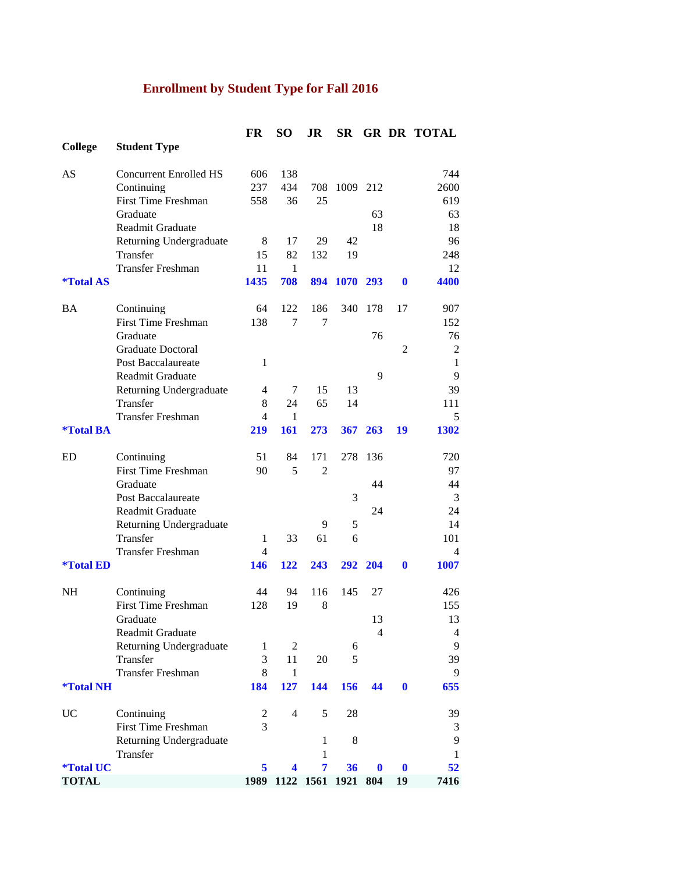# **Enrollment by Student Type for Fall 2016**

|                         |                                     | FR             | <b>SO</b>      | JR                 | <b>SR</b> |          |                | <b>GR DR TOTAL</b> |
|-------------------------|-------------------------------------|----------------|----------------|--------------------|-----------|----------|----------------|--------------------|
| <b>College</b>          | <b>Student Type</b>                 |                |                |                    |           |          |                |                    |
| AS                      | <b>Concurrent Enrolled HS</b>       | 606            | 138            |                    |           |          |                | 744                |
|                         | Continuing                          | 237            | 434            | 708                | 1009 212  |          |                | 2600               |
|                         | <b>First Time Freshman</b>          | 558            | 36             | 25                 |           |          |                | 619                |
|                         | Graduate                            |                |                |                    |           | 63       |                | 63                 |
|                         | Readmit Graduate                    |                |                |                    |           | 18       |                | 18                 |
|                         | Returning Undergraduate             | 8              | 17             | 29                 | 42        |          |                | 96                 |
|                         | Transfer                            | 15             | 82             | 132                | 19        |          |                | 248                |
|                         | <b>Transfer Freshman</b>            | 11             | $\mathbf{1}$   |                    |           |          |                | 12                 |
| <i><b>*Total AS</b></i> |                                     | 1435           | 708            | 894                | 1070 293  |          | $\mathbf{0}$   | 4400               |
| <b>BA</b>               | Continuing                          | 64             | 122            | 186                | 340       | 178      | 17             | 907                |
|                         | <b>First Time Freshman</b>          | 138            | 7              | 7                  |           |          |                | 152                |
|                         | Graduate                            |                |                |                    |           | 76       |                | 76                 |
|                         | Graduate Doctoral                   |                |                |                    |           |          | $\overline{2}$ | $\mathfrak{2}$     |
|                         | Post Baccalaureate                  | $\mathbf{1}$   |                |                    |           |          |                | $\mathbf{1}$       |
|                         | <b>Readmit Graduate</b>             |                |                |                    |           | 9        |                | 9                  |
|                         | Returning Undergraduate             | $\overline{4}$ | 7              | 15                 | 13        |          |                | 39                 |
|                         | Transfer                            | 8              | 24             | 65                 | 14        |          |                | 111                |
|                         | <b>Transfer Freshman</b>            | 4              | 1              |                    |           |          |                | 5                  |
| <i><b>*Total BA</b></i> |                                     | 219            | 161            | 273                |           | 367 263  | 19             | 1302               |
| ED                      | Continuing                          | 51             | 84             | 171                | 278       | 136      |                | 720                |
|                         | <b>First Time Freshman</b>          | 90             | 5              | 2                  |           |          |                | 97                 |
|                         | Graduate                            |                |                |                    |           | 44       |                | 44                 |
|                         | <b>Post Baccalaureate</b>           |                |                |                    | 3         |          |                | 3                  |
|                         | Readmit Graduate                    |                |                |                    |           | 24       |                | 24                 |
|                         | Returning Undergraduate             |                |                | 9                  | 5         |          |                | 14                 |
|                         | Transfer                            | 1              | 33             | 61                 | 6         |          |                | 101                |
|                         | <b>Transfer Freshman</b>            | 4              |                |                    |           |          |                | 4                  |
| <i><b>*Total ED</b></i> |                                     | 146            | 122            | 243                | 292       | 204      | $\mathbf{0}$   | 1007               |
| <b>NH</b>               | Continuing                          | 44             | 94             | 116                | 145       | 27       |                | 426                |
|                         | <b>First Time Freshman</b>          | 128            | 19             | 8                  |           |          |                | 155                |
|                         | Graduate                            |                |                |                    |           | 13       |                | 13                 |
|                         | Readmit Graduate                    |                |                |                    |           | 4        |                | 4                  |
|                         | Returning Undergraduate             | $\mathbf{1}$   | 2              |                    | 6         |          |                | 9                  |
|                         | Transfer                            | 3              | 11             | 20                 | 5         |          |                | 39                 |
|                         | <b>Transfer Freshman</b>            | 8              | $\mathbf{1}$   |                    |           |          |                | 9                  |
| <i><b>*Total NH</b></i> |                                     | 184            | 127            | 144                | 156       | 44       | $\bf{0}$       | 655                |
| UC                      | Continuing                          | 2              | $\overline{4}$ | 5                  | 28        |          |                | 39                 |
|                         | <b>First Time Freshman</b>          | 3              |                |                    |           |          |                | 3                  |
|                         | Returning Undergraduate<br>Transfer |                |                | 1<br>1             | 8         |          |                | 9<br>1             |
| <i><b>*Total UC</b></i> |                                     | 5              | 4              | 7                  | 36        | $\bf{0}$ | $\bf{0}$       | 52                 |
| <b>TOTAL</b>            |                                     | 1989           |                | 1122 1561 1921 804 |           |          | 19             | 7416               |